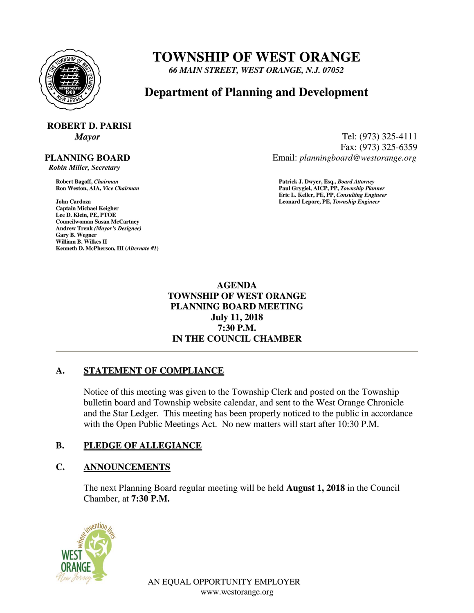

## **TOWNSHIP OF WEST ORANGE**

*66 MAIN STREET, WEST ORANGE, N.J. 07052*

### **Department of Planning and Development**

# **ROBERT D. PARISI**

#### **PLANNING BOARD**

 *Robin Miller, Secretary*

**John Cardoza Leonard Lepore, PE,** *Township Engineer* **Captain Michael Keigher Lee D. Klein, PE, PTOE Councilwoman Susan McCartney Andrew Trenk** *(Mayor's Designee)* **Gary B. Wegner William B. Wilkes II Kenneth D. McPherson, III (***Alternate #1***)**

*Mayor* Tel: (973) 325-4111 Fax: (973) 325-6359 Email: *planningboard@westorange.org*

**Robert Bagoff,** *Chairman* **Patrick J. Dwyer, Esq.,** *Board Attorney* **Ron Weston, AIA,** *Vice Chairman* **Paul Grygiel, AICP, PP,** *Township Planner* **Eric L. Keller, PE, PP,** *Consulting Engineer*

> **AGENDA TOWNSHIP OF WEST ORANGE PLANNING BOARD MEETING July 11, 2018 7:30 P.M. IN THE COUNCIL CHAMBER**

#### **A. STATEMENT OF COMPLIANCE**

Notice of this meeting was given to the Township Clerk and posted on the Township bulletin board and Township website calendar, and sent to the West Orange Chronicle and the Star Ledger. This meeting has been properly noticed to the public in accordance with the Open Public Meetings Act. No new matters will start after 10:30 P.M.

#### **B. PLEDGE OF ALLEGIANCE**

#### **C. ANNOUNCEMENTS**

The next Planning Board regular meeting will be held **August 1, 2018** in the Council Chamber, at **7:30 P.M.**